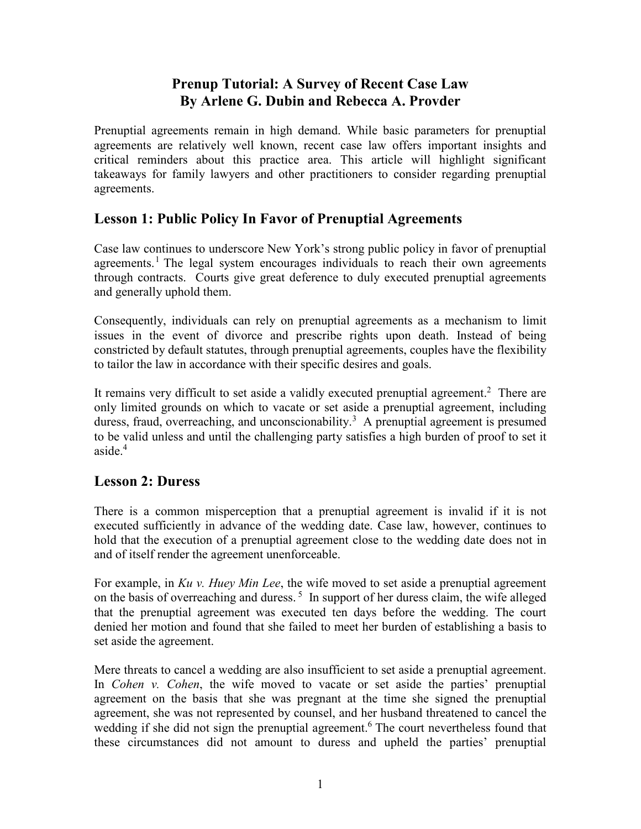#### **Prenup Tutorial: A Survey of Recent Case Law By Arlene G. Dubin and Rebecca A. Provder**

Prenuptial agreements remain in high demand. While basic parameters for prenuptial agreements are relatively well known, recent case law offers important insights and critical reminders about this practice area. This article will highlight significant takeaways for family lawyers and other practitioners to consider regarding prenuptial agreements.

#### **Lesson 1: Public Policy In Favor of Prenuptial Agreements**

Case law continues to underscore New York's strong public policy in favor of prenuptial agreements.<sup>1</sup> The legal system encourages individuals to reach their own agreements through contracts. Courts give great deference to duly executed prenuptial agreements and generally uphold them.

Consequently, individuals can rely on prenuptial agreements as a mechanism to limit issues in the event of divorce and prescribe rights upon death. Instead of being constricted by default statutes, through prenuptial agreements, couples have the flexibility to tailor the law in accordance with their specific desires and goals.

It remains very difficult to set aside a validly executed prenuptial agreement.<sup>2</sup> There are only limited grounds on which to vacate or set aside a prenuptial agreement, including duress, fraud, overreaching, and unconscionability.<sup>3</sup> A prenuptial agreement is presumed to be valid unless and until the challenging party satisfies a high burden of proof to set it aside $4$ 

#### **Lesson 2: Duress**

There is a common misperception that a prenuptial agreement is invalid if it is not executed sufficiently in advance of the wedding date. Case law, however, continues to hold that the execution of a prenuptial agreement close to the wedding date does not in and of itself render the agreement unenforceable.

For example, in *Ku v. Huey Min Lee*, the wife moved to set aside a prenuptial agreement on the basis of overreaching and duress.<sup>5</sup> In support of her duress claim, the wife alleged that the prenuptial agreement was executed ten days before the wedding. The court denied her motion and found that she failed to meet her burden of establishing a basis to set aside the agreement.

Mere threats to cancel a wedding are also insufficient to set aside a prenuptial agreement. In *Cohen v. Cohen*, the wife moved to vacate or set aside the parties' prenuptial agreement on the basis that she was pregnant at the time she signed the prenuptial agreement, she was not represented by counsel, and her husband threatened to cancel the wedding if she did not sign the prenuptial agreement.<sup>6</sup> The court nevertheless found that these circumstances did not amount to duress and upheld the parties' prenuptial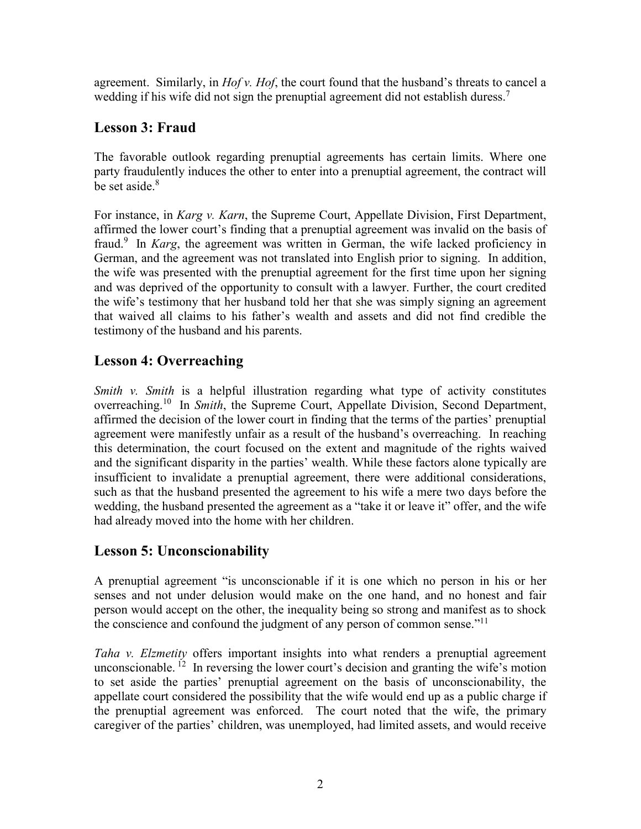agreement. Similarly, in *Hof v. Hof*, the court found that the husband's threats to cancel a wedding if his wife did not sign the prenuptial agreement did not establish duress.<sup>7</sup>

### **Lesson 3: Fraud**

The favorable outlook regarding prenuptial agreements has certain limits. Where one party fraudulently induces the other to enter into a prenuptial agreement, the contract will be set aside. $8<sup>8</sup>$ 

For instance, in *Karg v. Karn*, the Supreme Court, Appellate Division, First Department, affirmed the lower court's finding that a prenuptial agreement was invalid on the basis of fraud.<sup>9</sup> In *Karg*, the agreement was written in German, the wife lacked proficiency in German, and the agreement was not translated into English prior to signing. In addition, the wife was presented with the prenuptial agreement for the first time upon her signing and was deprived of the opportunity to consult with a lawyer. Further, the court credited the wife's testimony that her husband told her that she was simply signing an agreement that waived all claims to his father's wealth and assets and did not find credible the testimony of the husband and his parents.

# **Lesson 4: Overreaching**

*Smith v. Smith* is a helpful illustration regarding what type of activity constitutes overreaching.10 In *Smith*, the Supreme Court, Appellate Division, Second Department, affirmed the decision of the lower court in finding that the terms of the parties' prenuptial agreement were manifestly unfair as a result of the husband's overreaching. In reaching this determination, the court focused on the extent and magnitude of the rights waived and the significant disparity in the parties' wealth. While these factors alone typically are insufficient to invalidate a prenuptial agreement, there were additional considerations, such as that the husband presented the agreement to his wife a mere two days before the wedding, the husband presented the agreement as a "take it or leave it" offer, and the wife had already moved into the home with her children.

## **Lesson 5: Unconscionability**

A prenuptial agreement "is unconscionable if it is one which no person in his or her senses and not under delusion would make on the one hand, and no honest and fair person would accept on the other, the inequality being so strong and manifest as to shock the conscience and confound the judgment of any person of common sense."<sup>11</sup>

*Taha v. Elzmetity* offers important insights into what renders a prenuptial agreement unconscionable. <sup>12</sup> In reversing the lower court's decision and granting the wife's motion to set aside the parties' prenuptial agreement on the basis of unconscionability, the appellate court considered the possibility that the wife would end up as a public charge if the prenuptial agreement was enforced. The court noted that the wife, the primary caregiver of the parties' children, was unemployed, had limited assets, and would receive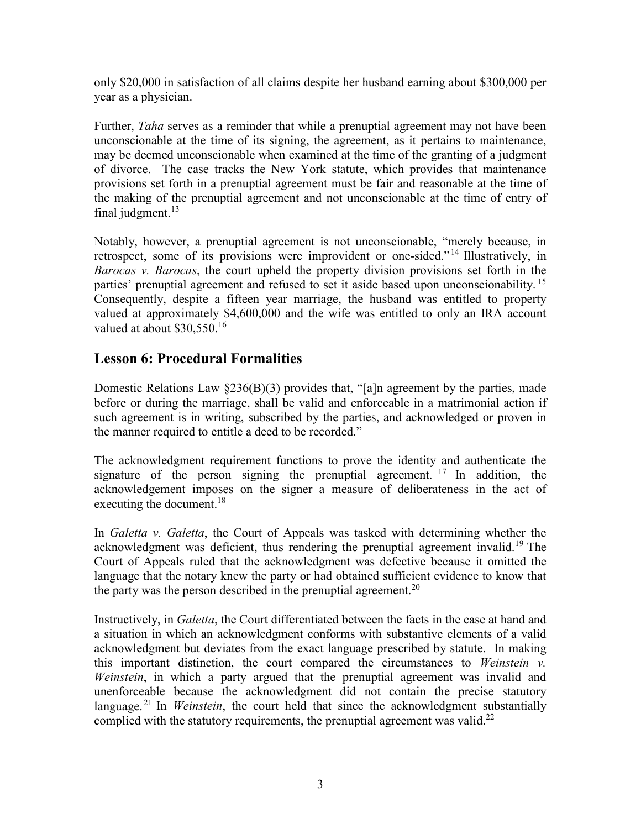only \$20,000 in satisfaction of all claims despite her husband earning about \$300,000 per year as a physician.

Further, *Taha* serves as a reminder that while a prenuptial agreement may not have been unconscionable at the time of its signing, the agreement, as it pertains to maintenance, may be deemed unconscionable when examined at the time of the granting of a judgment of divorce. The case tracks the New York statute, which provides that maintenance provisions set forth in a prenuptial agreement must be fair and reasonable at the time of the making of the prenuptial agreement and not unconscionable at the time of entry of final judgment. $13$ 

Notably, however, a prenuptial agreement is not unconscionable, "merely because, in retrospect, some of its provisions were improvident or one-sided."<sup>14</sup> Illustratively, in *Barocas v. Barocas*, the court upheld the property division provisions set forth in the parties' prenuptial agreement and refused to set it aside based upon unconscionability.<sup>15</sup> Consequently, despite a fifteen year marriage, the husband was entitled to property valued at approximately \$4,600,000 and the wife was entitled to only an IRA account valued at about \$30,550.<sup>16</sup>

### **Lesson 6: Procedural Formalities**

Domestic Relations Law §236(B)(3) provides that, "[a]n agreement by the parties, made before or during the marriage, shall be valid and enforceable in a matrimonial action if such agreement is in writing, subscribed by the parties, and acknowledged or proven in the manner required to entitle a deed to be recorded."

The acknowledgment requirement functions to prove the identity and authenticate the signature of the person signing the prenuptial agreement.  $17 \text{ In addition, the}$ acknowledgement imposes on the signer a measure of deliberateness in the act of executing the document.<sup>18</sup>

In *Galetta v. Galetta*, the Court of Appeals was tasked with determining whether the acknowledgment was deficient, thus rendering the prenuptial agreement invalid.<sup>19</sup> The Court of Appeals ruled that the acknowledgment was defective because it omitted the language that the notary knew the party or had obtained sufficient evidence to know that the party was the person described in the prenuptial agreement.<sup>20</sup>

Instructively, in *Galetta*, the Court differentiated between the facts in the case at hand and a situation in which an acknowledgment conforms with substantive elements of a valid acknowledgment but deviates from the exact language prescribed by statute. In making this important distinction, the court compared the circumstances to *Weinstein v. Weinstein*, in which a party argued that the prenuptial agreement was invalid and unenforceable because the acknowledgment did not contain the precise statutory language.<sup>21</sup> In *Weinstein*, the court held that since the acknowledgment substantially complied with the statutory requirements, the prenuptial agreement was valid.<sup>22</sup>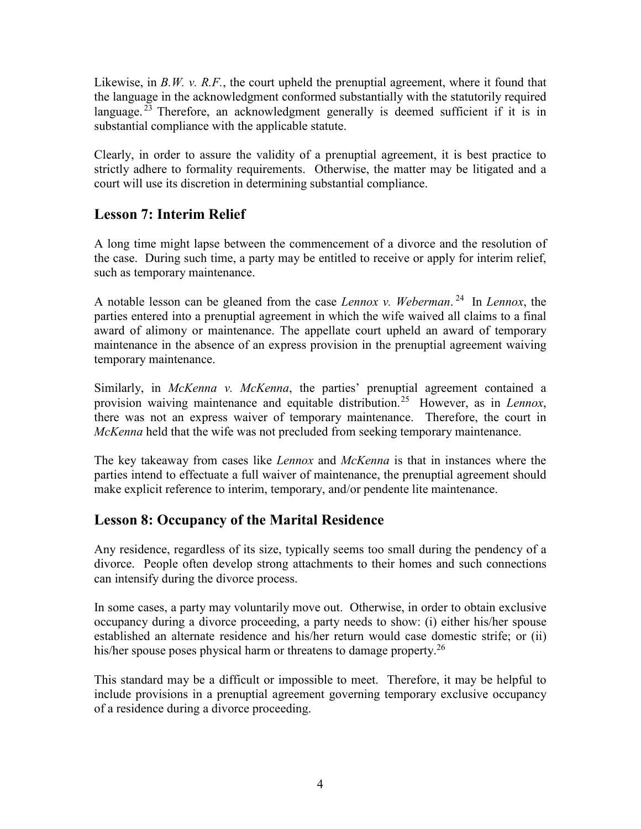Likewise, in *B.W. v. R.F.*, the court upheld the prenuptial agreement, where it found that the language in the acknowledgment conformed substantially with the statutorily required language.<sup> $23$ </sup> Therefore, an acknowledgment generally is deemed sufficient if it is in substantial compliance with the applicable statute.

Clearly, in order to assure the validity of a prenuptial agreement, it is best practice to strictly adhere to formality requirements. Otherwise, the matter may be litigated and a court will use its discretion in determining substantial compliance.

### **Lesson 7: Interim Relief**

A long time might lapse between the commencement of a divorce and the resolution of the case. During such time, a party may be entitled to receive or apply for interim relief, such as temporary maintenance.

A notable lesson can be gleaned from the case *Lennox v. Weberman*. 24 In *Lennox*, the parties entered into a prenuptial agreement in which the wife waived all claims to a final award of alimony or maintenance. The appellate court upheld an award of temporary maintenance in the absence of an express provision in the prenuptial agreement waiving temporary maintenance.

Similarly, in *McKenna v. McKenna*, the parties' prenuptial agreement contained a provision waiving maintenance and equitable distribution.25 However, as in *Lennox*, there was not an express waiver of temporary maintenance. Therefore, the court in *McKenna* held that the wife was not precluded from seeking temporary maintenance.

The key takeaway from cases like *Lennox* and *McKenna* is that in instances where the parties intend to effectuate a full waiver of maintenance, the prenuptial agreement should make explicit reference to interim, temporary, and/or pendente lite maintenance.

#### **Lesson 8: Occupancy of the Marital Residence**

Any residence, regardless of its size, typically seems too small during the pendency of a divorce. People often develop strong attachments to their homes and such connections can intensify during the divorce process.

In some cases, a party may voluntarily move out. Otherwise, in order to obtain exclusive occupancy during a divorce proceeding, a party needs to show: (i) either his/her spouse established an alternate residence and his/her return would case domestic strife; or (ii) his/her spouse poses physical harm or threatens to damage property.<sup>26</sup>

This standard may be a difficult or impossible to meet. Therefore, it may be helpful to include provisions in a prenuptial agreement governing temporary exclusive occupancy of a residence during a divorce proceeding.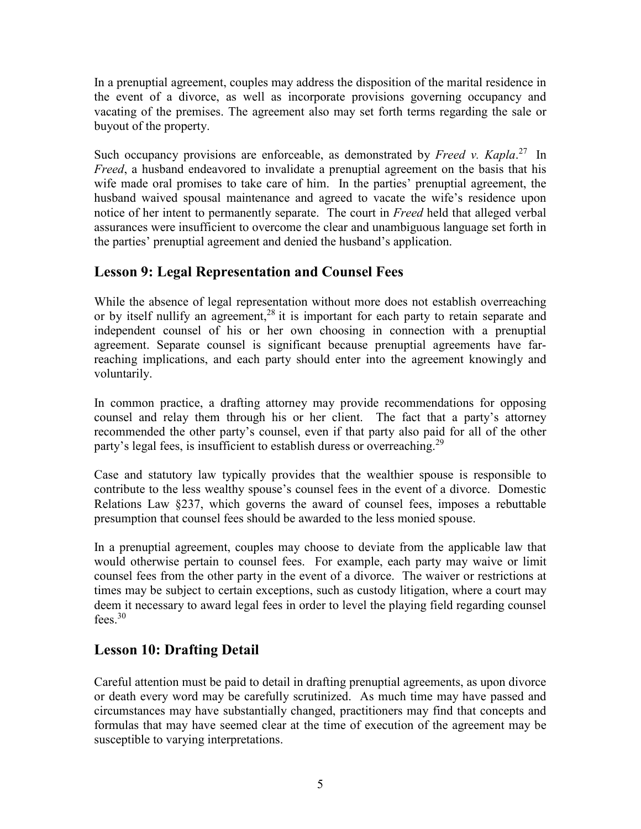In a prenuptial agreement, couples may address the disposition of the marital residence in the event of a divorce, as well as incorporate provisions governing occupancy and vacating of the premises. The agreement also may set forth terms regarding the sale or buyout of the property.

Such occupancy provisions are enforceable, as demonstrated by *Freed v. Kapla*.<sup>27</sup> In *Freed*, a husband endeavored to invalidate a prenuptial agreement on the basis that his wife made oral promises to take care of him. In the parties' prenuptial agreement, the husband waived spousal maintenance and agreed to vacate the wife's residence upon notice of her intent to permanently separate. The court in *Freed* held that alleged verbal assurances were insufficient to overcome the clear and unambiguous language set forth in the parties' prenuptial agreement and denied the husband's application.

## **Lesson 9: Legal Representation and Counsel Fees**

While the absence of legal representation without more does not establish overreaching or by itself nullify an agreement,<sup>28</sup> it is important for each party to retain separate and independent counsel of his or her own choosing in connection with a prenuptial agreement. Separate counsel is significant because prenuptial agreements have farreaching implications, and each party should enter into the agreement knowingly and voluntarily.

In common practice, a drafting attorney may provide recommendations for opposing counsel and relay them through his or her client. The fact that a party's attorney recommended the other party's counsel, even if that party also paid for all of the other party's legal fees, is insufficient to establish duress or overreaching.<sup>29</sup>

Case and statutory law typically provides that the wealthier spouse is responsible to contribute to the less wealthy spouse's counsel fees in the event of a divorce. Domestic Relations Law §237, which governs the award of counsel fees, imposes a rebuttable presumption that counsel fees should be awarded to the less monied spouse.

In a prenuptial agreement, couples may choose to deviate from the applicable law that would otherwise pertain to counsel fees. For example, each party may waive or limit counsel fees from the other party in the event of a divorce. The waiver or restrictions at times may be subject to certain exceptions, such as custody litigation, where a court may deem it necessary to award legal fees in order to level the playing field regarding counsel fees.  $30$ 

## **Lesson 10: Drafting Detail**

Careful attention must be paid to detail in drafting prenuptial agreements, as upon divorce or death every word may be carefully scrutinized. As much time may have passed and circumstances may have substantially changed, practitioners may find that concepts and formulas that may have seemed clear at the time of execution of the agreement may be susceptible to varying interpretations.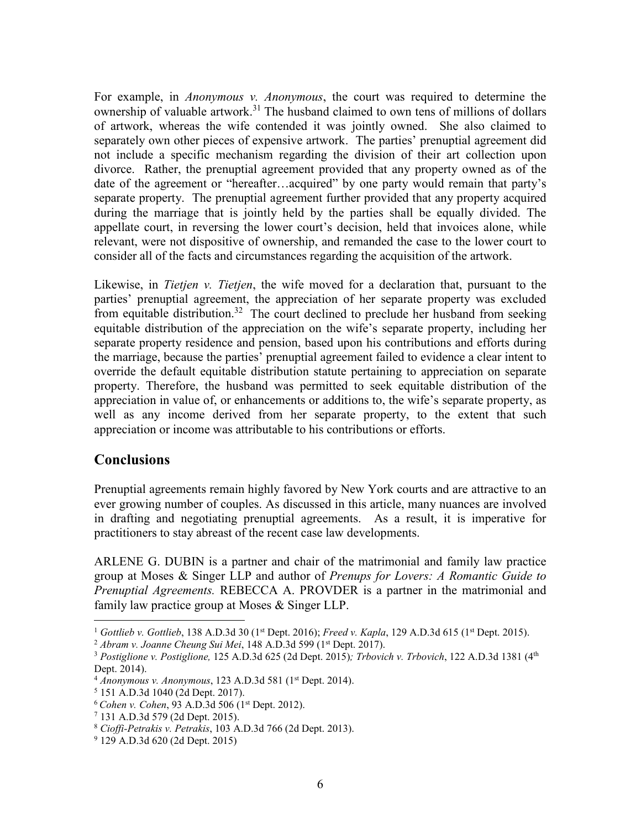For example, in *Anonymous v. Anonymous*, the court was required to determine the ownership of valuable artwork.<sup>31</sup> The husband claimed to own tens of millions of dollars of artwork, whereas the wife contended it was jointly owned. She also claimed to separately own other pieces of expensive artwork. The parties' prenuptial agreement did not include a specific mechanism regarding the division of their art collection upon divorce. Rather, the prenuptial agreement provided that any property owned as of the date of the agreement or "hereafter…acquired" by one party would remain that party's separate property. The prenuptial agreement further provided that any property acquired during the marriage that is jointly held by the parties shall be equally divided. The appellate court, in reversing the lower court's decision, held that invoices alone, while relevant, were not dispositive of ownership, and remanded the case to the lower court to consider all of the facts and circumstances regarding the acquisition of the artwork.

Likewise, in *Tietjen v. Tietjen*, the wife moved for a declaration that, pursuant to the parties' prenuptial agreement, the appreciation of her separate property was excluded from equitable distribution.<sup>32</sup> The court declined to preclude her husband from seeking equitable distribution of the appreciation on the wife's separate property, including her separate property residence and pension, based upon his contributions and efforts during the marriage, because the parties' prenuptial agreement failed to evidence a clear intent to override the default equitable distribution statute pertaining to appreciation on separate property. Therefore, the husband was permitted to seek equitable distribution of the appreciation in value of, or enhancements or additions to, the wife's separate property, as well as any income derived from her separate property, to the extent that such appreciation or income was attributable to his contributions or efforts.

#### **Conclusions**

Prenuptial agreements remain highly favored by New York courts and are attractive to an ever growing number of couples. As discussed in this article, many nuances are involved in drafting and negotiating prenuptial agreements. As a result, it is imperative for practitioners to stay abreast of the recent case law developments.

ARLENE G. DUBIN is a partner and chair of the matrimonial and family law practice group at Moses & Singer LLP and author of *Prenups for Lovers: A Romantic Guide to Prenuptial Agreements.* REBECCA A. PROVDER is a partner in the matrimonial and family law practice group at Moses & Singer LLP.

<sup>&</sup>lt;sup>1</sup> Gottlieb v. Gottlieb, 138 A.D.3d 30 (1<sup>st</sup> Dept. 2016); *Freed v. Kapla*, 129 A.D.3d 615 (1<sup>st</sup> Dept. 2015).<br><sup>2</sup> Abram v. Joanne Cheung Sui Mei, 148 A.D.3d 599 (1<sup>st</sup> Dept. 2017).<br><sup>3</sup> Postiglione v. Postiglione, 125 A

Dept. 2014).

<sup>&</sup>lt;sup>4</sup> *Anonymous v. Anonymous*, 123 A.D.3d 581 (1<sup>st</sup> Dept. 2014).

 <sup>151</sup> A.D.3d 1040 (2d Dept. 2017).

<sup>6</sup> *Cohen v. Cohen*, 93 A.D.3d 506 (1st Dept. 2012). 7

 <sup>131</sup> A.D.3d 579 (2d Dept. 2015).

<sup>8</sup> *Cioffi-Petrakis v. Petrakis*, 103 A.D.3d 766 (2d Dept. 2013). 9

 <sup>129</sup> A.D.3d 620 (2d Dept. 2015)